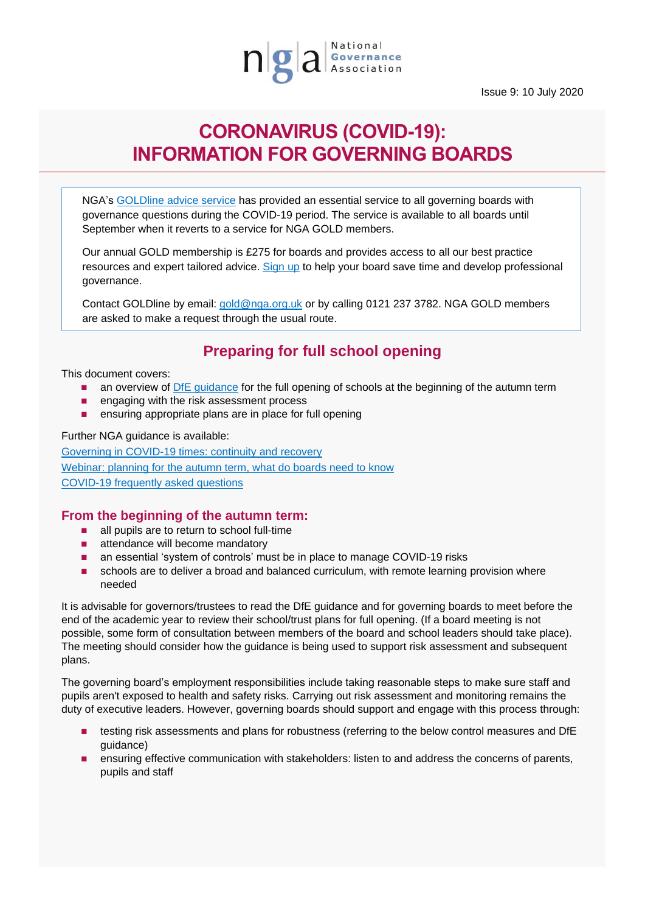

Issue 9: 10 July 2020

# **CORONAVIRUS (COVID-19): INFORMATION FOR GOVERNING BOARDS**

NGA's [GOLDline advice service](http://www.nga.org.uk/Membership/GOLDline-The-NGA-Advice-service.aspx) has provided an essential service to all governing boards with governance questions during the COVID-19 period. The service is available to all boards until September when it reverts to a service for NGA GOLD members.

Our annual GOLD membership is £275 for boards and provides access to all our best practice resources and expert tailored advice. [Sign up](https://www.nga.org.uk/Membership/Membership-types/GOLD-Governing-Board.aspx) to help your board save time and develop professional governance.

Contact GOLDline by email: [gold@nga.org.uk](mailto:gold@nga.org.uk) or by calling 0121 237 3782. NGA GOLD members are asked to make a request through the usual route.

## **Preparing for full school opening**

This document covers:

- an overview of [DfE guidance](https://www.gov.uk/government/publications/actions-for-schools-during-the-coronavirus-outbreak/guidance-for-full-opening-schools) for the full opening of schools at the beginning of the autumn term
- engaging with the risk assessment process
- ensuring appropriate plans are in place for full opening

Further NGA guidance is available:

[Governing in COVID-19 times: continuity and recovery](nga.org.uk/getmedia/6fb22e92-4663-4896-ae1c-c670475d17f2/NGA-Guidance_Governing-in-COVID-19-Continuity-and-Recovery_10_7_20.pdf) [Webinar: planning for the autumn term, what do boards need to know](https://www.nga.org.uk/News/Webinars.aspx) [COVID-19 frequently asked questions](https://www.nga.org.uk/Knowledge-Centre/Executive-leaders-and-the-governing-boards/Frequently-Asked-Questions-on-Coronavirus-(COVID-1.aspx)

#### **From the beginning of the autumn term:**

- all pupils are to return to school full-time
- attendance will become mandatory
- an essential 'system of controls' must be in place to manage COVID-19 risks
- schools are to deliver a broad and balanced curriculum, with remote learning provision where needed

It is advisable for governors/trustees to read the DfE guidance and for governing boards to meet before the end of the academic year to review their school/trust plans for full opening. (If a board meeting is not possible, some form of consultation between members of the board and school leaders should take place). The meeting should consider how the guidance is being used to support risk assessment and subsequent plans.

The governing board's employment responsibilities include taking reasonable steps to make sure staff and pupils aren't exposed to health and safety risks. Carrying out risk assessment and monitoring remains the duty of executive leaders. However, governing boards should support and engage with this process through:

- testing risk assessments and plans for robustness (referring to the below control measures and DfE guidance)
- ensuring effective communication with stakeholders: listen to and address the concerns of parents, pupils and staff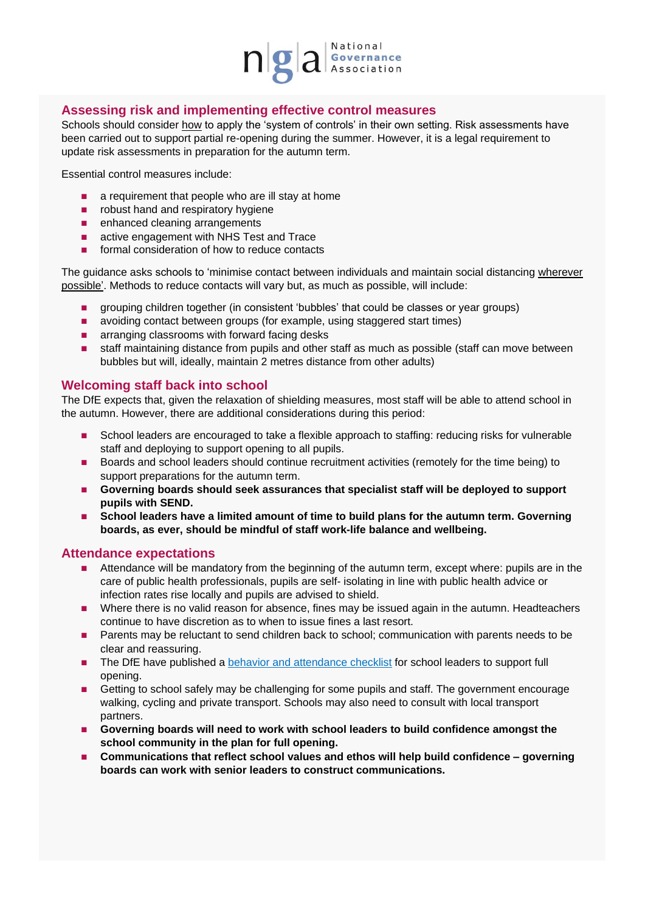

### **Assessing risk and implementing effective control measures**

Schools should consider how to apply the 'system of controls' in their own setting. Risk assessments have been carried out to support partial re-opening during the summer. However, it is a legal requirement to update risk assessments in preparation for the autumn term.

Essential control measures include:

- a requirement that people who are ill stay at home
- robust hand and respiratory hygiene
- enhanced cleaning arrangements
- active engagement with NHS Test and Trace
- formal consideration of how to reduce contacts

The guidance asks schools to 'minimise contact between individuals and maintain social distancing wherever possible'. Methods to reduce contacts will vary but, as much as possible, will include:

- grouping children together (in consistent 'bubbles' that could be classes or year groups)
- avoiding contact between groups (for example, using staggered start times)
- arranging classrooms with forward facing desks
- staff maintaining distance from pupils and other staff as much as possible (staff can move between bubbles but will, ideally, maintain 2 metres distance from other adults)

#### **Welcoming staff back into school**

The DfE expects that, given the relaxation of shielding measures, most staff will be able to attend school in the autumn. However, there are additional considerations during this period:

- School leaders are encouraged to take a flexible approach to staffing: reducing risks for vulnerable staff and deploying to support opening to all pupils.
- Boards and school leaders should continue recruitment activities (remotely for the time being) to support preparations for the autumn term.
- Governing boards should seek assurances that specialist staff will be deployed to support **pupils with SEND.**
- School leaders have a limited amount of time to build plans for the autumn term. Governing **boards, as ever, should be mindful of staff work-life balance and wellbeing.**

#### **Attendance expectations**

- Attendance will be mandatory from the beginning of the autumn term, except where: pupils are in the care of public health professionals, pupils are self- isolating in line with public health advice or infection rates rise locally and pupils are advised to shield.
- Where there is no valid reason for absence, fines may be issued again in the autumn. Headteachers continue to have discretion as to when to issue fines a last resort.
- Parents may be reluctant to send children back to school; communication with parents needs to be clear and reassuring.
- The DfE have published a [behavior and attendance checklist](https://assets.publishing.service.gov.uk/government/uploads/system/uploads/attachment_data/file/899384/Checklist_for_school_leaders_on_behaviour_and_attendance.pdf) for school leaders to support full opening.
- Getting to school safely may be challenging for some pupils and staff. The government encourage walking, cycling and private transport. Schools may also need to consult with local transport partners.
- Governing boards will need to work with school leaders to build confidence amongst the **school community in the plan for full opening.**
- Communications that reflect school values and ethos will help build confidence governing **boards can work with senior leaders to construct communications.**